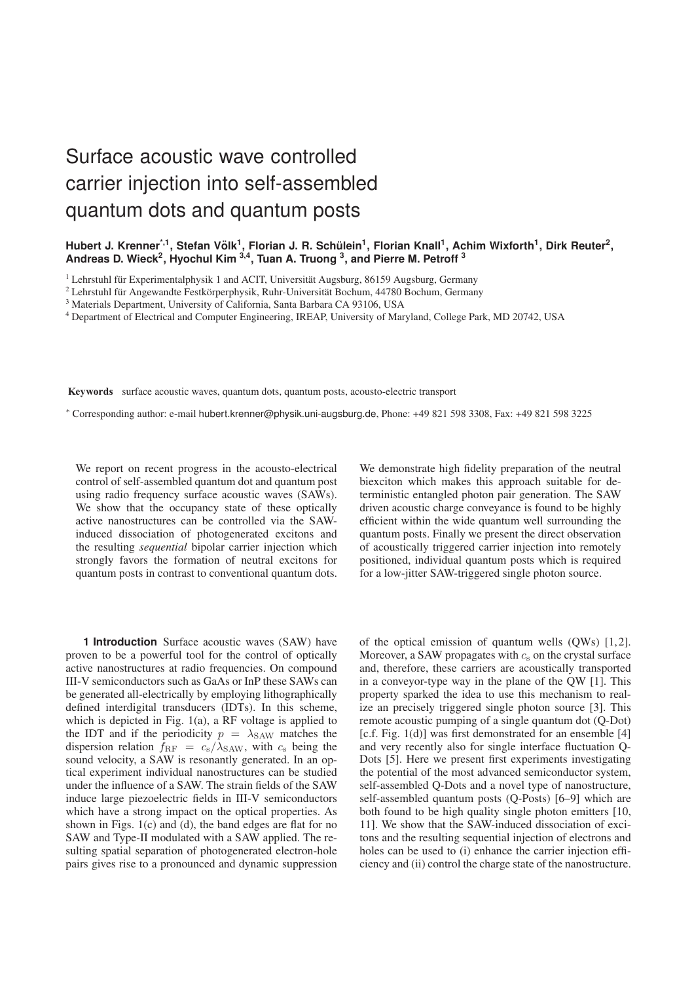# Surface acoustic wave controlled carrier injection into self-assembled quantum dots and quantum posts

## Hubert J. Krenner<sup>\*,1</sup>, Stefan Völk<sup>1</sup>, Florian J. R. Schülein<sup>1</sup>, Florian Knall<sup>1</sup>, Achim Wixforth<sup>1</sup>, Dirk Reuter<sup>2</sup>, **Andreas D. Wieck 2 , Hyochul Kim 3,4 , Tuan A. Truong 3 , and Pierre M. Petroff 3**

 $1$  Lehrstuhl für Experimentalphysik 1 and ACIT, Universität Augsburg, 86159 Augsburg, Germany

<sup>3</sup> Materials Department, University of California, Santa Barbara CA 93106, USA

<sup>4</sup> Department of Electrical and Computer Engineering, IREAP, University of Maryland, College Park, MD 20742, USA

Keywords surface acoustic waves, quantum dots, quantum posts, acousto-electric transport

<sup>∗</sup> Corresponding author: e-mail hubert.krenner@physik.uni-augsburg.de, Phone: +49 821 598 3308, Fax: +49 821 598 3225

We report on recent progress in the acousto-electrical control of self-assembled quantum dot and quantum post using radio frequency surface acoustic waves (SAWs). We show that the occupancy state of these optically active nanostructures can be controlled via the SAWinduced dissociation of photogenerated excitons and the resulting *sequential* bipolar carrier injection which strongly favors the formation of neutral excitons for quantum posts in contrast to conventional quantum dots.

**1 Introduction** Surface acoustic waves (SAW) have proven to be a powerful tool for the control of optically active nanostructures at radio frequencies. On compound III-V semiconductors such as GaAs or InP these SAWs can be generated all-electrically by employing lithographically defined interdigital transducers (IDTs). In this scheme, which is depicted in Fig. 1(a), a RF voltage is applied to the IDT and if the periodicity  $p = \lambda_{\text{SAW}}$  matches the dispersion relation  $f_{\rm RF} = c_{\rm s}/\lambda_{\rm SAW}$ , with  $c_{\rm s}$  being the sound velocity, a SAW is resonantly generated. In an optical experiment individual nanostructures can be studied under the influence of a SAW. The strain fields of the SAW induce large piezoelectric fields in III-V semiconductors which have a strong impact on the optical properties. As shown in Figs. 1(c) and (d), the band edges are flat for no SAW and Type-II modulated with a SAW applied. The resulting spatial separation of photogenerated electron-hole pairs gives rise to a pronounced and dynamic suppression

biexciton which makes this approach suitable for deterministic entangled photon pair generation. The SAW driven acoustic charge conveyance is found to be highly efficient within the wide quantum well surrounding the quantum posts. Finally we present the direct observation of acoustically triggered carrier injection into remotely positioned, individual quantum posts which is required for a low-jitter SAW-triggered single photon source.

We demonstrate high fidelity preparation of the neutral

of the optical emission of quantum wells (QWs) [1,2]. Moreover, a SAW propagates with  $c_s$  on the crystal surface and, therefore, these carriers are acoustically transported in a conveyor-type way in the plane of the QW [1]. This property sparked the idea to use this mechanism to realize an precisely triggered single photon source [3]. This remote acoustic pumping of a single quantum dot (Q-Dot) [c.f. Fig. 1(d)] was first demonstrated for an ensemble [4] and very recently also for single interface fluctuation Q-Dots [5]. Here we present first experiments investigating the potential of the most advanced semiconductor system, self-assembled Q-Dots and a novel type of nanostructure, self-assembled quantum posts (Q-Posts) [6–9] which are both found to be high quality single photon emitters [10, 11]. We show that the SAW-induced dissociation of excitons and the resulting sequential injection of electrons and holes can be used to (i) enhance the carrier injection efficiency and (ii) control the charge state of the nanostructure.

<sup>&</sup>lt;sup>2</sup> Lehrstuhl für Angewandte Festkörperphysik, Ruhr-Universität Bochum, 44780 Bochum, Germany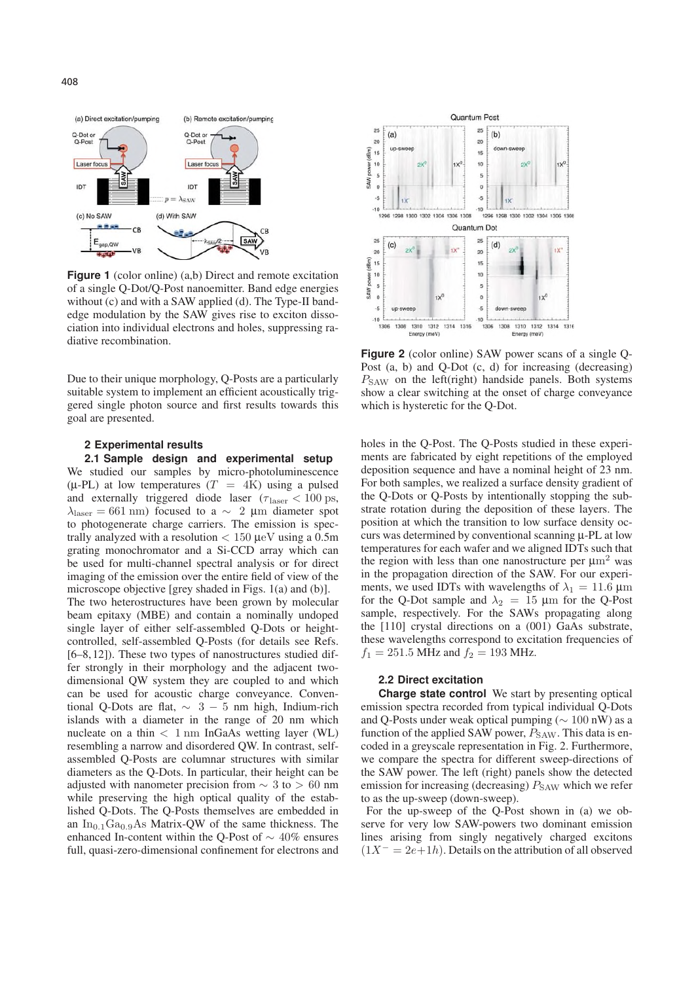

**Figure 1** (color online) (a,b) Direct and remote excitation of a single Q-Dot/Q-Post nanoemitter. Band edge energies without (c) and with a SAW applied (d). The Type-II bandedge modulation by the SAW gives rise to exciton dissociation into individual electrons and holes, suppressing radiative recombination.

Due to their unique morphology, Q-Posts are a particularly suitable system to implement an efficient acoustically triggered single photon source and first results towards this goal are presented.

#### **2 Experimental results**

**2.1 Sample design and experimental setup** We studied our samples by micro-photoluminescence ( $\mu$ -PL) at low temperatures ( $T = 4K$ ) using a pulsed and externally triggered diode laser ( $\tau_{\text{laser}} < 100 \text{ ps}$ ,  $\lambda_{\text{laser}} = 661 \text{ nm}$ ) focused to a ~ 2 µm diameter spot to photogenerate charge carriers. The emission is spectrally analyzed with a resolution  $< 150 \mu$ eV using a 0.5m grating monochromator and a Si-CCD array which can be used for multi-channel spectral analysis or for direct imaging of the emission over the entire field of view of the microscope objective [grey shaded in Figs. 1(a) and (b)]. The two heterostructures have been grown by molecular beam epitaxy (MBE) and contain a nominally undoped single layer of either self-assembled Q-Dots or heightcontrolled, self-assembled Q-Posts (for details see Refs. [6–8,12]). These two types of nanostructures studied differ strongly in their morphology and the adjacent twodimensional QW system they are coupled to and which can be used for acoustic charge conveyance. Conventional Q-Dots are flat,  $\sim$  3 − 5 nm high, Indium-rich islands with a diameter in the range of 20 nm which nucleate on a thin  $\langle 1 \text{ nm} \rangle$  InGaAs wetting layer (WL) resembling a narrow and disordered QW. In contrast, selfassembled Q-Posts are columnar structures with similar diameters as the Q-Dots. In particular, their height can be adjusted with nanometer precision from  $\sim$  3 to > 60 nm while preserving the high optical quality of the established Q-Dots. The Q-Posts themselves are embedded in an  $In_{0,1}Ga_{0,9}As$  Matrix-OW of the same thickness. The enhanced In-content within the O-Post of  $\sim$  40% ensures full, quasi-zero-dimensional confinement for electrons and



**Figure 2** (color online) SAW power scans of a single Q-Post (a, b) and Q-Dot (c, d) for increasing (decreasing)  $P_{SAW}$  on the left(right) handside panels. Both systems show a clear switching at the onset of charge conveyance which is hysteretic for the Q-Dot.

holes in the Q-Post. The Q-Posts studied in these experiments are fabricated by eight repetitions of the employed deposition sequence and have a nominal height of 23 nm. For both samples, we realized a surface density gradient of the Q-Dots or Q-Posts by intentionally stopping the substrate rotation during the deposition of these layers. The position at which the transition to low surface density occurs was determined by conventional scanning μ-PL at low temperatures for each wafer and we aligned IDTs such that the region with less than one nanostructure per  $\mu$ m<sup>2</sup> was in the propagation direction of the SAW. For our experiments, we used IDTs with wavelengths of  $\lambda_1 = 11.6 \,\mu\text{m}$ for the Q-Dot sample and  $\lambda_2 = 15 \text{ }\mu\text{m}$  for the Q-Post sample, respectively. For the SAWs propagating along the [110] crystal directions on a (001) GaAs substrate, these wavelengths correspond to excitation frequencies of  $f_1 = 251.5$  MHz and  $f_2 = 193$  MHz.

## **2.2 Direct excitation**

**Charge state control** We start by presenting optical emission spectra recorded from typical individual Q-Dots and Q-Posts under weak optical pumping ( $\sim 100$  nW) as a function of the applied SAW power,  $P_{SAW}$ . This data is encoded in a greyscale representation in Fig. 2. Furthermore, we compare the spectra for different sweep-directions of the SAW power. The left (right) panels show the detected emission for increasing (decreasing)  $P_{\text{SAW}}$  which we refer to as the up-sweep (down-sweep).

For the up-sweep of the Q-Post shown in (a) we observe for very low SAW-powers two dominant emission lines arising from singly negatively charged excitons  $(1X^{-} = 2e+1h)$ . Details on the attribution of all observed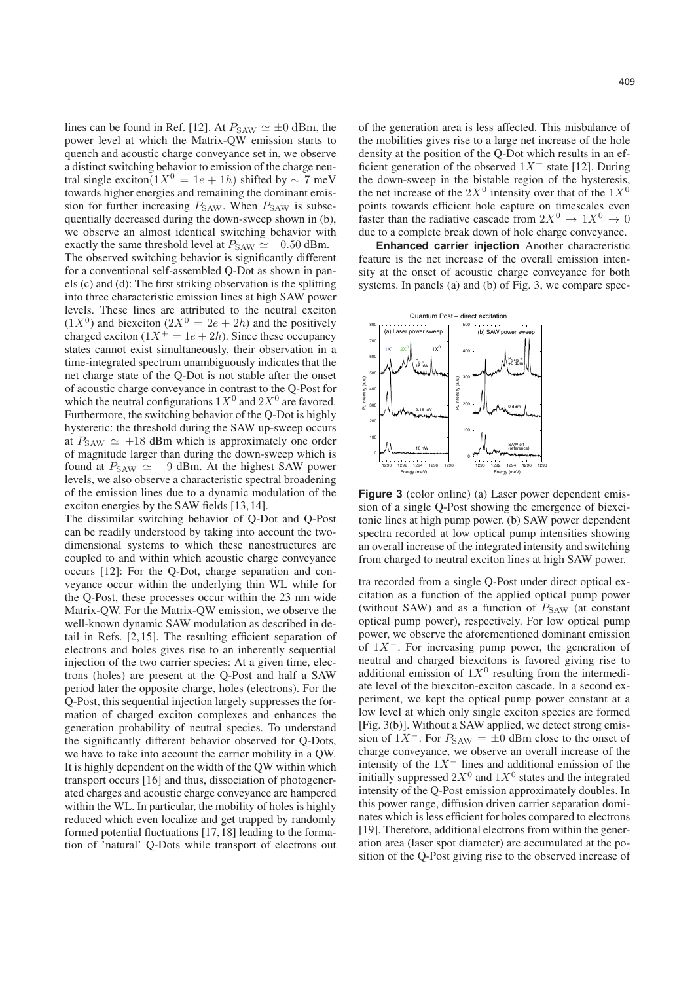lines can be found in Ref. [12]. At  $P_{SAW} \simeq \pm 0$  dBm, the power level at which the Matrix-QW emission starts to quench and acoustic charge conveyance set in, we observe a distinct switching behavior to emission of the charge neutral single exciton( $1X^0 = 1e + 1h$ ) shifted by ~ 7 meV towards higher energies and remaining the dominant emission for further increasing  $P_{SAW}$ . When  $P_{SAW}$  is subsequentially decreased during the down-sweep shown in (b), we observe an almost identical switching behavior with exactly the same threshold level at  $P_{SAW} \simeq +0.50$  dBm. The observed switching behavior is significantly different for a conventional self-assembled Q-Dot as shown in panels (c) and (d): The first striking observation is the splitting into three characteristic emission lines at high SAW power levels. These lines are attributed to the neutral exciton  $(1X^0)$  and biexciton  $(2X^0 = 2e + 2h)$  and the positively charged exciton  $(1X^+ = 1e + 2h)$ . Since these occupancy states cannot exist simultaneously, their observation in a time-integrated spectrum unambiguously indicates that the net charge state of the Q-Dot is not stable after the onset of acoustic charge conveyance in contrast to the Q-Post for which the neutral configurations  $1X^0$  and  $2X^0$  are favored. Furthermore, the switching behavior of the Q-Dot is highly hysteretic: the threshold during the SAW up-sweep occurs at  $P_{SAW} \simeq +18$  dBm which is approximately one order of magnitude larger than during the down-sweep which is found at  $P_{SAW} \simeq +9$  dBm. At the highest SAW power levels, we also observe a characteristic spectral broadening of the emission lines due to a dynamic modulation of the exciton energies by the SAW fields [13,14].

The dissimilar switching behavior of Q-Dot and Q-Post can be readily understood by taking into account the twodimensional systems to which these nanostructures are coupled to and within which acoustic charge conveyance occurs [12]: For the Q-Dot, charge separation and conveyance occur within the underlying thin WL while for the Q-Post, these processes occur within the 23 nm wide Matrix-QW. For the Matrix-QW emission, we observe the well-known dynamic SAW modulation as described in detail in Refs. [2,15]. The resulting efficient separation of electrons and holes gives rise to an inherently sequential injection of the two carrier species: At a given time, electrons (holes) are present at the Q-Post and half a SAW period later the opposite charge, holes (electrons). For the Q-Post, this sequential injection largely suppresses the formation of charged exciton complexes and enhances the generation probability of neutral species. To understand the significantly different behavior observed for Q-Dots, we have to take into account the carrier mobility in a QW. It is highly dependent on the width of the QW within which transport occurs [16] and thus, dissociation of photogenerated charges and acoustic charge conveyance are hampered within the WL. In particular, the mobility of holes is highly reduced which even localize and get trapped by randomly formed potential fluctuations [17,18] leading to the formation of 'natural' Q-Dots while transport of electrons out of the generation area is less affected. This misbalance of the mobilities gives rise to a large net increase of the hole density at the position of the Q-Dot which results in an efficient generation of the observed  $1X^+$  state [12]. During the down-sweep in the bistable region of the hysteresis, the net increase of the  $2X^0$  intensity over that of the  $1X^0$ points towards efficient hole capture on timescales even faster than the radiative cascade from  $2X^0 \rightarrow 1X^0 \rightarrow 0$ due to a complete break down of hole charge conveyance.

**Enhanced carrier injection** Another characteristic feature is the net increase of the overall emission intensity at the onset of acoustic charge conveyance for both systems. In panels (a) and (b) of Fig. 3, we compare spec-



**Figure 3** (color online) (a) Laser power dependent emission of a single Q-Post showing the emergence of biexcitonic lines at high pump power. (b) SAW power dependent spectra recorded at low optical pump intensities showing an overall increase of the integrated intensity and switching from charged to neutral exciton lines at high SAW power.

tra recorded from a single Q-Post under direct optical excitation as a function of the applied optical pump power (without SAW) and as a function of  $P_{SAW}$  (at constant optical pump power), respectively. For low optical pump power, we observe the aforementioned dominant emission of  $1X^-$ . For increasing pump power, the generation of neutral and charged biexcitons is favored giving rise to additional emission of  $1X<sup>0</sup>$  resulting from the intermediate level of the biexciton-exciton cascade. In a second experiment, we kept the optical pump power constant at a low level at which only single exciton species are formed [Fig. 3(b)]. Without a SAW applied, we detect strong emission of  $1X^-$ . For  $P_{SAW} = \pm 0$  dBm close to the onset of charge conveyance, we observe an overall increase of the intensity of the  $1X^-$  lines and additional emission of the initially suppressed  $2X^0$  and  $1X^0$  states and the integrated intensity of the Q-Post emission approximately doubles. In this power range, diffusion driven carrier separation dominates which is less efficient for holes compared to electrons [19]. Therefore, additional electrons from within the generation area (laser spot diameter) are accumulated at the position of the Q-Post giving rise to the observed increase of